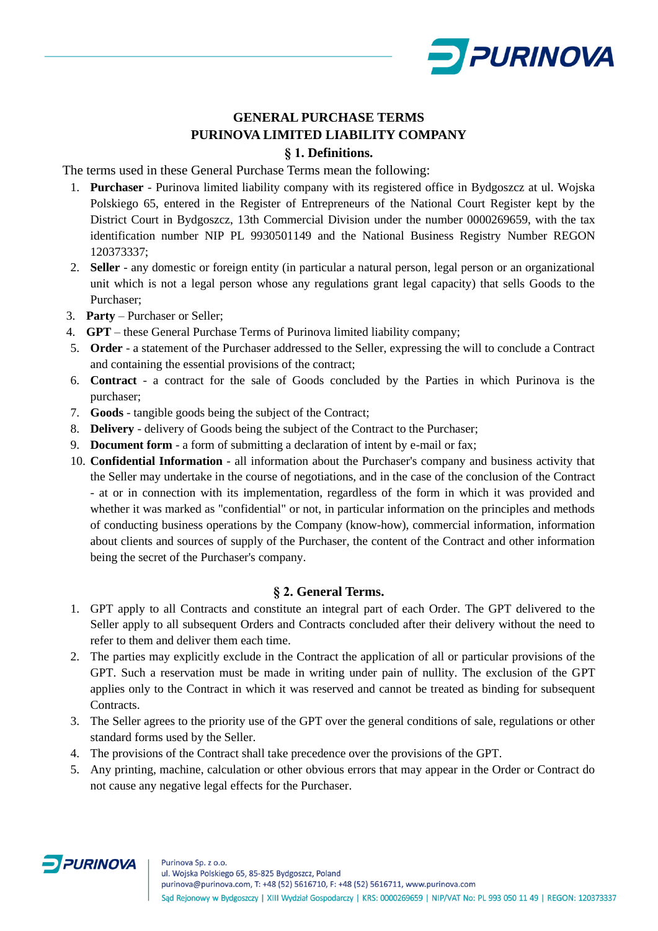

# **GENERAL PURCHASE TERMS PURINOVA LIMITED LIABILITY COMPANY § 1. Definitions.**

The terms used in these General Purchase Terms mean the following:

- 1. **Purchaser** Purinova limited liability company with its registered office in Bydgoszcz at ul. Wojska Polskiego 65, entered in the Register of Entrepreneurs of the National Court Register kept by the District Court in Bydgoszcz, 13th Commercial Division under the number 0000269659, with the tax identification number NIP PL 9930501149 and the National Business Registry Number REGON 120373337;
- 2. **Seller** any domestic or foreign entity (in particular a natural person, legal person or an organizational unit which is not a legal person whose any regulations grant legal capacity) that sells Goods to the Purchaser;
- 3. **Party** Purchaser or Seller;
- 4. **GPT** these General Purchase Terms of Purinova limited liability company;
- 5. **Order** a statement of the Purchaser addressed to the Seller, expressing the will to conclude a Contract and containing the essential provisions of the contract;
- 6. **Contract** a contract for the sale of Goods concluded by the Parties in which Purinova is the purchaser;
- 7. **Goods** tangible goods being the subject of the Contract;
- 8. **Delivery** delivery of Goods being the subject of the Contract to the Purchaser;
- 9. **Document form** a form of submitting a declaration of intent by e-mail or fax;
- 10. **Confidential Information** all information about the Purchaser's company and business activity that the Seller may undertake in the course of negotiations, and in the case of the conclusion of the Contract - at or in connection with its implementation, regardless of the form in which it was provided and whether it was marked as "confidential" or not, in particular information on the principles and methods of conducting business operations by the Company (know-how), commercial information, information about clients and sources of supply of the Purchaser, the content of the Contract and other information being the secret of the Purchaser's company.

# **§ 2. General Terms.**

- 1. GPT apply to all Contracts and constitute an integral part of each Order. The GPT delivered to the Seller apply to all subsequent Orders and Contracts concluded after their delivery without the need to refer to them and deliver them each time.
- 2. The parties may explicitly exclude in the Contract the application of all or particular provisions of the GPT. Such a reservation must be made in writing under pain of nullity. The exclusion of the GPT applies only to the Contract in which it was reserved and cannot be treated as binding for subsequent Contracts.
- 3. The Seller agrees to the priority use of the GPT over the general conditions of sale, regulations or other standard forms used by the Seller.
- 4. The provisions of the Contract shall take precedence over the provisions of the GPT.
- 5. Any printing, machine, calculation or other obvious errors that may appear in the Order or Contract do not cause any negative legal effects for the Purchaser.

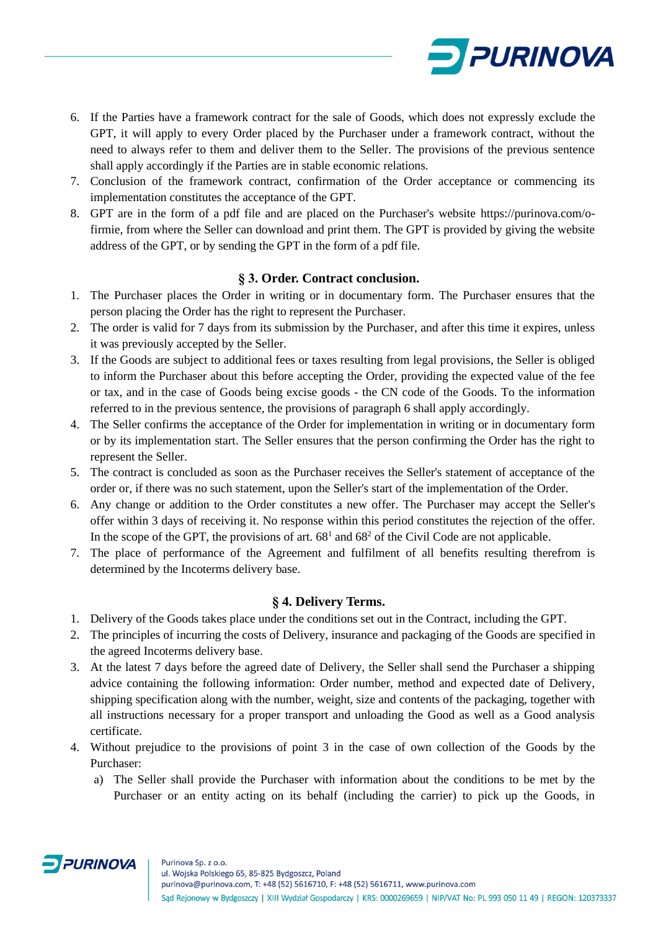

- 6. If the Parties have a framework contract for the sale of Goods, which does not expressly exclude the GPT, it will apply to every Order placed by the Purchaser under a framework contract, without the need to always refer to them and deliver them to the Seller. The provisions of the previous sentence shall apply accordingly if the Parties are in stable economic relations.
- 7. Conclusion of the framework contract, confirmation of the Order acceptance or commencing its implementation constitutes the acceptance of the GPT.
- 8. GPT are in the form of a pdf file and are placed on the Purchaser's website https://purinova.com/ofirmie, from where the Seller can download and print them. The GPT is provided by giving the website address of the GPT, or by sending the GPT in the form of a pdf file.

## **§ 3. Order. Contract conclusion.**

- 1. The Purchaser places the Order in writing or in documentary form. The Purchaser ensures that the person placing the Order has the right to represent the Purchaser.
- 2. The order is valid for 7 days from its submission by the Purchaser, and after this time it expires, unless it was previously accepted by the Seller.
- 3. If the Goods are subject to additional fees or taxes resulting from legal provisions, the Seller is obliged to inform the Purchaser about this before accepting the Order, providing the expected value of the fee or tax, and in the case of Goods being excise goods - the CN code of the Goods. To the information referred to in the previous sentence, the provisions of paragraph 6 shall apply accordingly.
- 4. The Seller confirms the acceptance of the Order for implementation in writing or in documentary form or by its implementation start. The Seller ensures that the person confirming the Order has the right to represent the Seller.
- 5. The contract is concluded as soon as the Purchaser receives the Seller's statement of acceptance of the order or, if there was no such statement, upon the Seller's start of the implementation of the Order.
- 6. Any change or addition to the Order constitutes a new offer. The Purchaser may accept the Seller's offer within 3 days of receiving it. No response within this period constitutes the rejection of the offer. In the scope of the GPT, the provisions of art.  $68<sup>1</sup>$  and  $68<sup>2</sup>$  of the Civil Code are not applicable.
- 7. The place of performance of the Agreement and fulfilment of all benefits resulting therefrom is determined by the Incoterms delivery base.

## **§ 4. Delivery Terms.**

- 1. Delivery of the Goods takes place under the conditions set out in the Contract, including the GPT.
- 2. The principles of incurring the costs of Delivery, insurance and packaging of the Goods are specified in the agreed Incoterms delivery base.
- 3. At the latest 7 days before the agreed date of Delivery, the Seller shall send the Purchaser a shipping advice containing the following information: Order number, method and expected date of Delivery, shipping specification along with the number, weight, size and contents of the packaging, together with all instructions necessary for a proper transport and unloading the Good as well as a Good analysis certificate.
- 4. Without prejudice to the provisions of point 3 in the case of own collection of the Goods by the Purchaser:
	- a) The Seller shall provide the Purchaser with information about the conditions to be met by the Purchaser or an entity acting on its behalf (including the carrier) to pick up the Goods, in

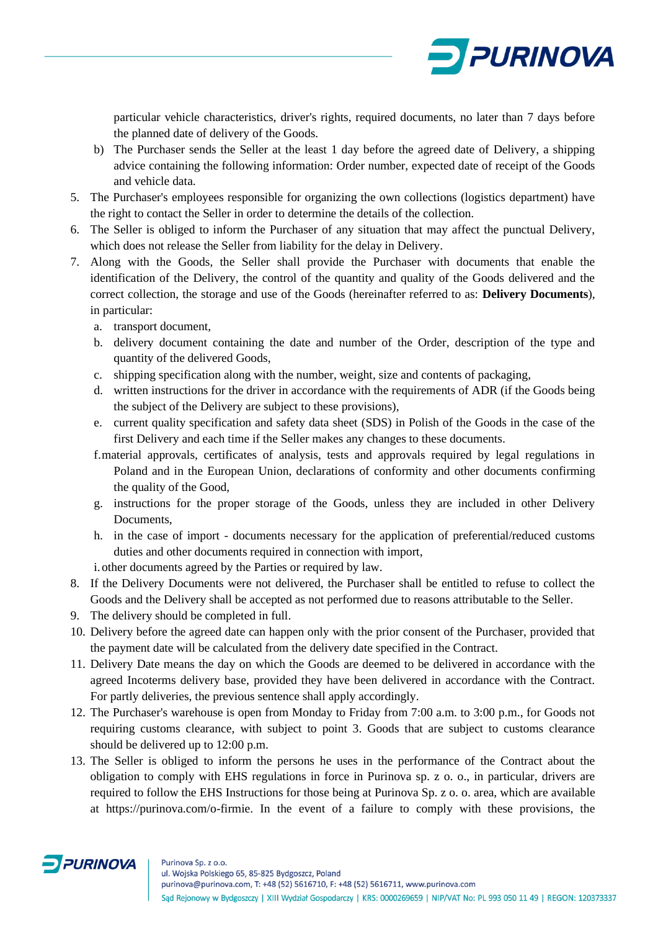

particular vehicle characteristics, driver's rights, required documents, no later than 7 days before the planned date of delivery of the Goods.

- b) The Purchaser sends the Seller at the least 1 day before the agreed date of Delivery, a shipping advice containing the following information: Order number, expected date of receipt of the Goods and vehicle data.
- 5. The Purchaser's employees responsible for organizing the own collections (logistics department) have the right to contact the Seller in order to determine the details of the collection.
- 6. The Seller is obliged to inform the Purchaser of any situation that may affect the punctual Delivery, which does not release the Seller from liability for the delay in Delivery.
- 7. Along with the Goods, the Seller shall provide the Purchaser with documents that enable the identification of the Delivery, the control of the quantity and quality of the Goods delivered and the correct collection, the storage and use of the Goods (hereinafter referred to as: **Delivery Documents**), in particular:
	- a. transport document,
	- b. delivery document containing the date and number of the Order, description of the type and quantity of the delivered Goods,
	- c. shipping specification along with the number, weight, size and contents of packaging,
	- d. written instructions for the driver in accordance with the requirements of ADR (if the Goods being the subject of the Delivery are subject to these provisions),
	- e. current quality specification and safety data sheet (SDS) in Polish of the Goods in the case of the first Delivery and each time if the Seller makes any changes to these documents.
	- f.material approvals, certificates of analysis, tests and approvals required by legal regulations in Poland and in the European Union, declarations of conformity and other documents confirming the quality of the Good,
	- g. instructions for the proper storage of the Goods, unless they are included in other Delivery Documents,
	- h. in the case of import documents necessary for the application of preferential/reduced customs duties and other documents required in connection with import,
	- i.other documents agreed by the Parties or required by law.
- 8. If the Delivery Documents were not delivered, the Purchaser shall be entitled to refuse to collect the Goods and the Delivery shall be accepted as not performed due to reasons attributable to the Seller.
- 9. The delivery should be completed in full.
- 10. Delivery before the agreed date can happen only with the prior consent of the Purchaser, provided that the payment date will be calculated from the delivery date specified in the Contract.
- 11. Delivery Date means the day on which the Goods are deemed to be delivered in accordance with the agreed Incoterms delivery base, provided they have been delivered in accordance with the Contract. For partly deliveries, the previous sentence shall apply accordingly.
- 12. The Purchaser's warehouse is open from Monday to Friday from 7:00 a.m. to 3:00 p.m., for Goods not requiring customs clearance, with subject to point 3. Goods that are subject to customs clearance should be delivered up to 12:00 p.m.
- 13. The Seller is obliged to inform the persons he uses in the performance of the Contract about the obligation to comply with EHS regulations in force in Purinova sp. z o. o., in particular, drivers are required to follow the EHS Instructions for those being at Purinova Sp. z o. o. area, which are available at https://purinova.com/o-firmie. In the event of a failure to comply with these provisions, the

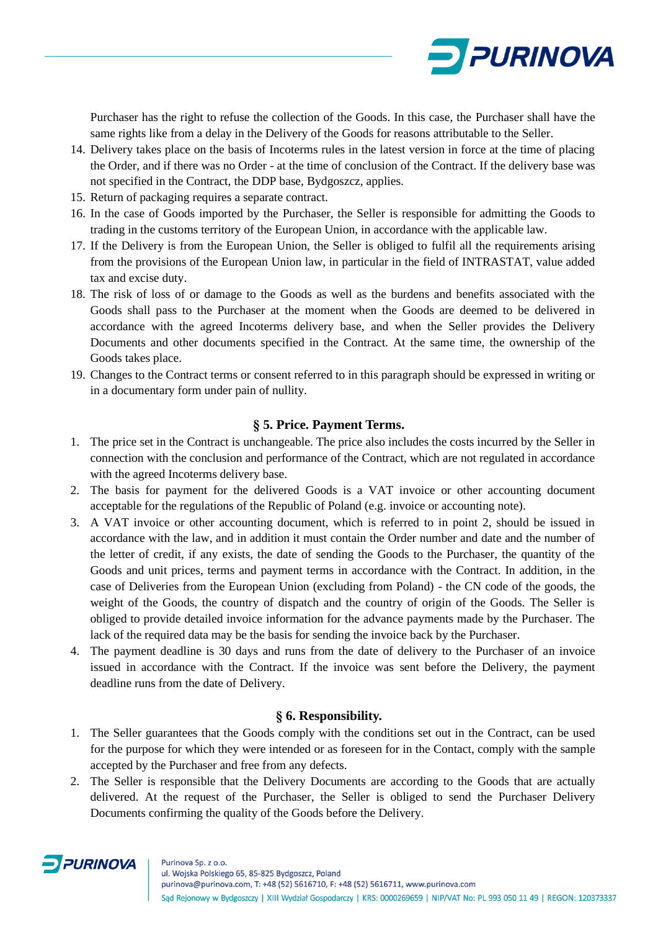

Purchaser has the right to refuse the collection of the Goods. In this case, the Purchaser shall have the same rights like from a delay in the Delivery of the Goods for reasons attributable to the Seller.

- 14. Delivery takes place on the basis of Incoterms rules in the latest version in force at the time of placing the Order, and if there was no Order - at the time of conclusion of the Contract. If the delivery base was not specified in the Contract, the DDP base, Bydgoszcz, applies.
- 15. Return of packaging requires a separate contract.
- 16. In the case of Goods imported by the Purchaser, the Seller is responsible for admitting the Goods to trading in the customs territory of the European Union, in accordance with the applicable law.
- 17. If the Delivery is from the European Union, the Seller is obliged to fulfil all the requirements arising from the provisions of the European Union law, in particular in the field of INTRASTAT, value added tax and excise duty.
- 18. The risk of loss of or damage to the Goods as well as the burdens and benefits associated with the Goods shall pass to the Purchaser at the moment when the Goods are deemed to be delivered in accordance with the agreed Incoterms delivery base, and when the Seller provides the Delivery Documents and other documents specified in the Contract. At the same time, the ownership of the Goods takes place.
- 19. Changes to the Contract terms or consent referred to in this paragraph should be expressed in writing or in a documentary form under pain of nullity.

# **§ 5. Price. Payment Terms.**

- 1. The price set in the Contract is unchangeable. The price also includes the costs incurred by the Seller in connection with the conclusion and performance of the Contract, which are not regulated in accordance with the agreed Incoterms delivery base.
- 2. The basis for payment for the delivered Goods is a VAT invoice or other accounting document acceptable for the regulations of the Republic of Poland (e.g. invoice or accounting note).
- 3. A VAT invoice or other accounting document, which is referred to in point 2, should be issued in accordance with the law, and in addition it must contain the Order number and date and the number of the letter of credit, if any exists, the date of sending the Goods to the Purchaser, the quantity of the Goods and unit prices, terms and payment terms in accordance with the Contract. In addition, in the case of Deliveries from the European Union (excluding from Poland) - the CN code of the goods, the weight of the Goods, the country of dispatch and the country of origin of the Goods. The Seller is obliged to provide detailed invoice information for the advance payments made by the Purchaser. The lack of the required data may be the basis for sending the invoice back by the Purchaser.
- 4. The payment deadline is 30 days and runs from the date of delivery to the Purchaser of an invoice issued in accordance with the Contract. If the invoice was sent before the Delivery, the payment deadline runs from the date of Delivery.

## **§ 6. Responsibility.**

- 1. The Seller guarantees that the Goods comply with the conditions set out in the Contract, can be used for the purpose for which they were intended or as foreseen for in the Contact, comply with the sample accepted by the Purchaser and free from any defects.
- 2. The Seller is responsible that the Delivery Documents are according to the Goods that are actually delivered. At the request of the Purchaser, the Seller is obliged to send the Purchaser Delivery Documents confirming the quality of the Goods before the Delivery.

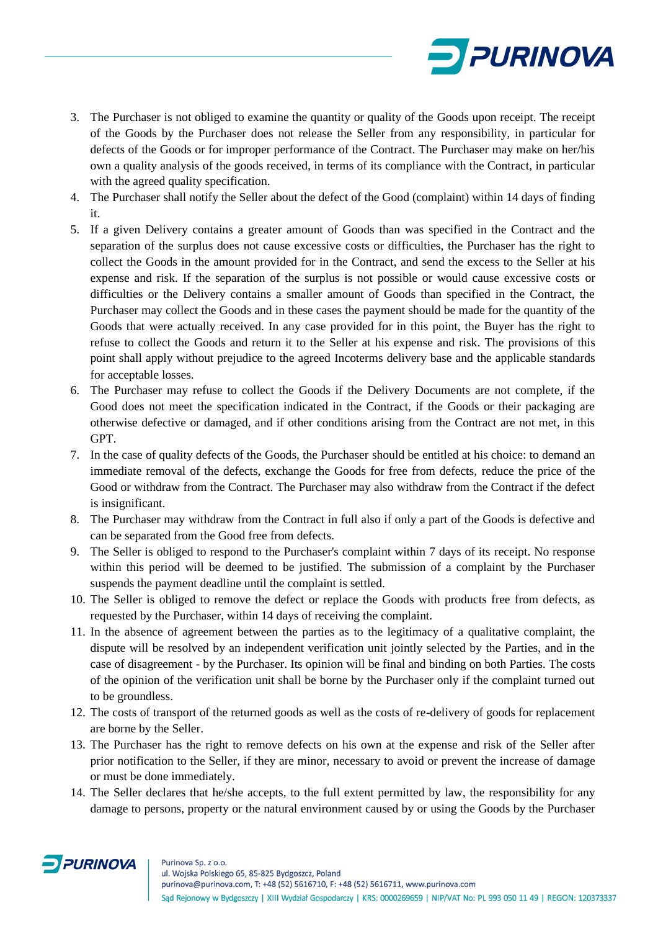

- 3. The Purchaser is not obliged to examine the quantity or quality of the Goods upon receipt. The receipt of the Goods by the Purchaser does not release the Seller from any responsibility, in particular for defects of the Goods or for improper performance of the Contract. The Purchaser may make on her/his own a quality analysis of the goods received, in terms of its compliance with the Contract, in particular with the agreed quality specification.
- 4. The Purchaser shall notify the Seller about the defect of the Good (complaint) within 14 days of finding it.
- 5. If a given Delivery contains a greater amount of Goods than was specified in the Contract and the separation of the surplus does not cause excessive costs or difficulties, the Purchaser has the right to collect the Goods in the amount provided for in the Contract, and send the excess to the Seller at his expense and risk. If the separation of the surplus is not possible or would cause excessive costs or difficulties or the Delivery contains a smaller amount of Goods than specified in the Contract, the Purchaser may collect the Goods and in these cases the payment should be made for the quantity of the Goods that were actually received. In any case provided for in this point, the Buyer has the right to refuse to collect the Goods and return it to the Seller at his expense and risk. The provisions of this point shall apply without prejudice to the agreed Incoterms delivery base and the applicable standards for acceptable losses.
- 6. The Purchaser may refuse to collect the Goods if the Delivery Documents are not complete, if the Good does not meet the specification indicated in the Contract, if the Goods or their packaging are otherwise defective or damaged, and if other conditions arising from the Contract are not met, in this GPT.
- 7. In the case of quality defects of the Goods, the Purchaser should be entitled at his choice: to demand an immediate removal of the defects, exchange the Goods for free from defects, reduce the price of the Good or withdraw from the Contract. The Purchaser may also withdraw from the Contract if the defect is insignificant.
- 8. The Purchaser may withdraw from the Contract in full also if only a part of the Goods is defective and can be separated from the Good free from defects.
- 9. The Seller is obliged to respond to the Purchaser's complaint within 7 days of its receipt. No response within this period will be deemed to be justified. The submission of a complaint by the Purchaser suspends the payment deadline until the complaint is settled.
- 10. The Seller is obliged to remove the defect or replace the Goods with products free from defects, as requested by the Purchaser, within 14 days of receiving the complaint.
- 11. In the absence of agreement between the parties as to the legitimacy of a qualitative complaint, the dispute will be resolved by an independent verification unit jointly selected by the Parties, and in the case of disagreement - by the Purchaser. Its opinion will be final and binding on both Parties. The costs of the opinion of the verification unit shall be borne by the Purchaser only if the complaint turned out to be groundless.
- 12. The costs of transport of the returned goods as well as the costs of re-delivery of goods for replacement are borne by the Seller.
- 13. The Purchaser has the right to remove defects on his own at the expense and risk of the Seller after prior notification to the Seller, if they are minor, necessary to avoid or prevent the increase of damage or must be done immediately.
- 14. The Seller declares that he/she accepts, to the full extent permitted by law, the responsibility for any damage to persons, property or the natural environment caused by or using the Goods by the Purchaser

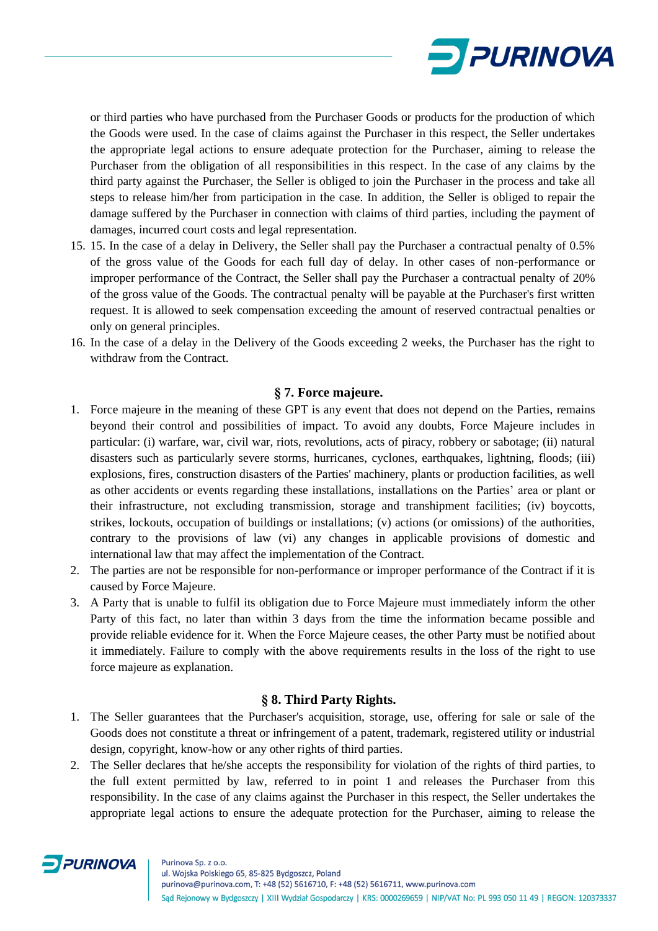

or third parties who have purchased from the Purchaser Goods or products for the production of which the Goods were used. In the case of claims against the Purchaser in this respect, the Seller undertakes the appropriate legal actions to ensure adequate protection for the Purchaser, aiming to release the Purchaser from the obligation of all responsibilities in this respect. In the case of any claims by the third party against the Purchaser, the Seller is obliged to join the Purchaser in the process and take all steps to release him/her from participation in the case. In addition, the Seller is obliged to repair the damage suffered by the Purchaser in connection with claims of third parties, including the payment of damages, incurred court costs and legal representation.

- 15. 15. In the case of a delay in Delivery, the Seller shall pay the Purchaser a contractual penalty of 0.5% of the gross value of the Goods for each full day of delay. In other cases of non-performance or improper performance of the Contract, the Seller shall pay the Purchaser a contractual penalty of 20% of the gross value of the Goods. The contractual penalty will be payable at the Purchaser's first written request. It is allowed to seek compensation exceeding the amount of reserved contractual penalties or only on general principles.
- 16. In the case of a delay in the Delivery of the Goods exceeding 2 weeks, the Purchaser has the right to withdraw from the Contract.

## **§ 7. Force majeure.**

- 1. Force majeure in the meaning of these GPT is any event that does not depend on the Parties, remains beyond their control and possibilities of impact. To avoid any doubts, Force Majeure includes in particular: (i) warfare, war, civil war, riots, revolutions, acts of piracy, robbery or sabotage; (ii) natural disasters such as particularly severe storms, hurricanes, cyclones, earthquakes, lightning, floods; (iii) explosions, fires, construction disasters of the Parties' machinery, plants or production facilities, as well as other accidents or events regarding these installations, installations on the Parties' area or plant or their infrastructure, not excluding transmission, storage and transhipment facilities; (iv) boycotts, strikes, lockouts, occupation of buildings or installations; (v) actions (or omissions) of the authorities, contrary to the provisions of law (vi) any changes in applicable provisions of domestic and international law that may affect the implementation of the Contract.
- 2. The parties are not be responsible for non-performance or improper performance of the Contract if it is caused by Force Majeure.
- 3. A Party that is unable to fulfil its obligation due to Force Majeure must immediately inform the other Party of this fact, no later than within 3 days from the time the information became possible and provide reliable evidence for it. When the Force Majeure ceases, the other Party must be notified about it immediately. Failure to comply with the above requirements results in the loss of the right to use force majeure as explanation.

## **§ 8. Third Party Rights.**

- 1. The Seller guarantees that the Purchaser's acquisition, storage, use, offering for sale or sale of the Goods does not constitute a threat or infringement of a patent, trademark, registered utility or industrial design, copyright, know-how or any other rights of third parties.
- 2. The Seller declares that he/she accepts the responsibility for violation of the rights of third parties, to the full extent permitted by law, referred to in point 1 and releases the Purchaser from this responsibility. In the case of any claims against the Purchaser in this respect, the Seller undertakes the appropriate legal actions to ensure the adequate protection for the Purchaser, aiming to release the

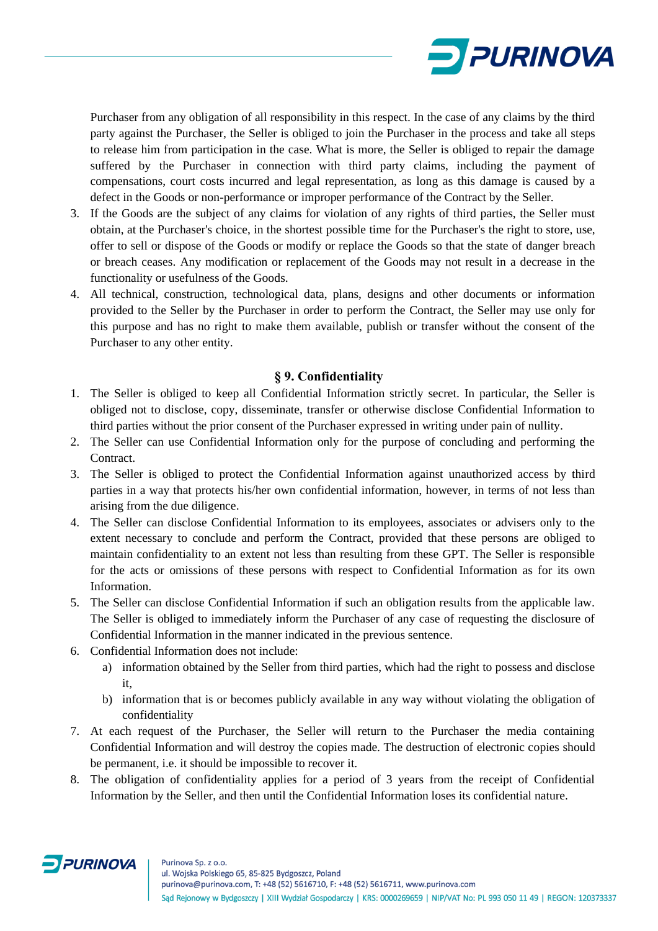

Purchaser from any obligation of all responsibility in this respect. In the case of any claims by the third party against the Purchaser, the Seller is obliged to join the Purchaser in the process and take all steps to release him from participation in the case. What is more, the Seller is obliged to repair the damage suffered by the Purchaser in connection with third party claims, including the payment of compensations, court costs incurred and legal representation, as long as this damage is caused by a defect in the Goods or non-performance or improper performance of the Contract by the Seller.

- 3. If the Goods are the subject of any claims for violation of any rights of third parties, the Seller must obtain, at the Purchaser's choice, in the shortest possible time for the Purchaser's the right to store, use, offer to sell or dispose of the Goods or modify or replace the Goods so that the state of danger breach or breach ceases. Any modification or replacement of the Goods may not result in a decrease in the functionality or usefulness of the Goods.
- 4. All technical, construction, technological data, plans, designs and other documents or information provided to the Seller by the Purchaser in order to perform the Contract, the Seller may use only for this purpose and has no right to make them available, publish or transfer without the consent of the Purchaser to any other entity.

#### **§ 9. Confidentiality**

- 1. The Seller is obliged to keep all Confidential Information strictly secret. In particular, the Seller is obliged not to disclose, copy, disseminate, transfer or otherwise disclose Confidential Information to third parties without the prior consent of the Purchaser expressed in writing under pain of nullity.
- 2. The Seller can use Confidential Information only for the purpose of concluding and performing the Contract.
- 3. The Seller is obliged to protect the Confidential Information against unauthorized access by third parties in a way that protects his/her own confidential information, however, in terms of not less than arising from the due diligence.
- 4. The Seller can disclose Confidential Information to its employees, associates or advisers only to the extent necessary to conclude and perform the Contract, provided that these persons are obliged to maintain confidentiality to an extent not less than resulting from these GPT. The Seller is responsible for the acts or omissions of these persons with respect to Confidential Information as for its own Information.
- 5. The Seller can disclose Confidential Information if such an obligation results from the applicable law. The Seller is obliged to immediately inform the Purchaser of any case of requesting the disclosure of Confidential Information in the manner indicated in the previous sentence.
- 6. Confidential Information does not include:
	- a) information obtained by the Seller from third parties, which had the right to possess and disclose it,
	- b) information that is or becomes publicly available in any way without violating the obligation of confidentiality
- 7. At each request of the Purchaser, the Seller will return to the Purchaser the media containing Confidential Information and will destroy the copies made. The destruction of electronic copies should be permanent, i.e. it should be impossible to recover it.
- 8. The obligation of confidentiality applies for a period of 3 years from the receipt of Confidential Information by the Seller, and then until the Confidential Information loses its confidential nature.